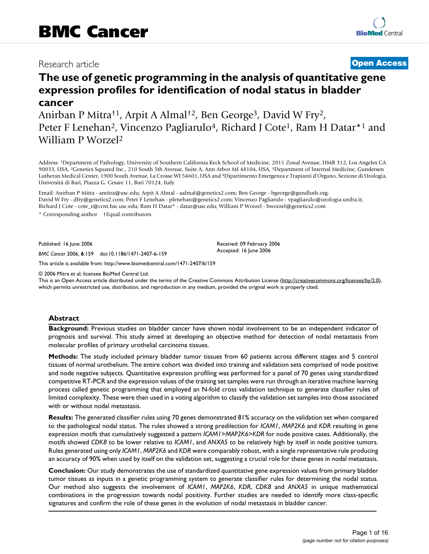# Research article **[Open Access](http://www.biomedcentral.com/info/about/charter/)**

# **The use of genetic programming in the analysis of quantitative gene expression profiles for identification of nodal status in bladder cancer**

Anirban P Mitra†1, Arpit A Almal†2, Ben George3, David W Fry2, Peter F Lenehan<sup>2</sup>, Vincenzo Pagliarulo<sup>4</sup>, Richard J Cote<sup>1</sup>, Ram H Datar<sup>\*1</sup> and William P Worzel2

Address: 1Department of Pathology, University of Southern California Keck School of Medicine, 2011 Zonal Avenue, HMR 312, Los Angeles CA 90033, USA, 2Genetics Squared Inc., 210 South 5th Avenue, Suite A, Ann Arbor MI 48104, USA, 3Department of Internal Medicine, Gundersen Lutheran Medical Center, 1900 South Avenue, La Crosse WI 54601, USA and 4Dipartimento Emergenza e Trapianti d'Organo, Sezione di Urologia, Università di Bari, Piazza G. Cesare 11, Bari 70124, Italy

Email: Anirban P Mitra - amitra@usc.edu; Arpit A Almal - aalmal@genetics2.com; Ben George - bgeorge@gundluth.org; David W Fry - dfry@genetics2.com; Peter F Lenehan - plenehan@genetics2.com; Vincenzo Pagliarulo - vpagliarulo@urologia.uniba.it; Richard J Cote - cote\_r@ccnt.hsc.usc.edu; Ram H Datar\* - datar@usc.edu; William P Worzel - bworzel@genetics2.com \* Corresponding author †Equal contributors

Published: 16 June 2006

*BMC Cancer* 2006, **6**:159 doi:10.1186/1471-2407-6-159

[This article is available from: http://www.biomedcentral.com/1471-2407/6/159](http://www.biomedcentral.com/1471-2407/6/159)

© 2006 Mitra et al; licensee BioMed Central Ltd.

This is an Open Access article distributed under the terms of the Creative Commons Attribution License [\(http://creativecommons.org/licenses/by/2.0\)](http://creativecommons.org/licenses/by/2.0), which permits unrestricted use, distribution, and reproduction in any medium, provided the original work is properly cited.

Received: 09 February 2006 Accepted: 16 June 2006

#### **Abstract**

**Background:** Previous studies on bladder cancer have shown nodal involvement to be an independent indicator of prognosis and survival. This study aimed at developing an objective method for detection of nodal metastasis from molecular profiles of primary urothelial carcinoma tissues.

**Methods:** The study included primary bladder tumor tissues from 60 patients across different stages and 5 control tissues of normal urothelium. The entire cohort was divided into training and validation sets comprised of node positive and node negative subjects. Quantitative expression profiling was performed for a panel of 70 genes using standardized competitive RT-PCR and the expression values of the training set samples were run through an iterative machine learning process called genetic programming that employed an N-fold cross validation technique to generate classifier rules of limited complexity. These were then used in a voting algorithm to classify the validation set samples into those associated with or without nodal metastasis.

**Results:** The generated classifier rules using 70 genes demonstrated 81% accuracy on the validation set when compared to the pathological nodal status. The rules showed a strong predilection for *ICAM1*, *MAP2K6* and *KDR* resulting in gene expression motifs that cumulatively suggested a pattern *ICAM1*>*MAP2K6*>*KDR* for node positive cases. Additionally, the motifs showed *CDK8* to be lower relative to *ICAM1*, and *ANXA5* to be relatively high by itself in node positive tumors. Rules generated using only *ICAM1*, *MAP2K6* and *KDR* were comparably robust, with a single representative rule producing an accuracy of 90% when used by itself on the validation set, suggesting a crucial role for these genes in nodal metastasis.

**Conclusion:** Our study demonstrates the use of standardized quantitative gene expression values from primary bladder tumor tissues as inputs in a genetic programming system to generate classifier rules for determining the nodal status. Our method also suggests the involvement of *ICAM1*, *MAP2K6*, *KDR*, *CDK8* and *ANXA5* in unique mathematical combinations in the progression towards nodal positivity. Further studies are needed to identify more class-specific signatures and confirm the role of these genes in the evolution of nodal metastasis in bladder cancer.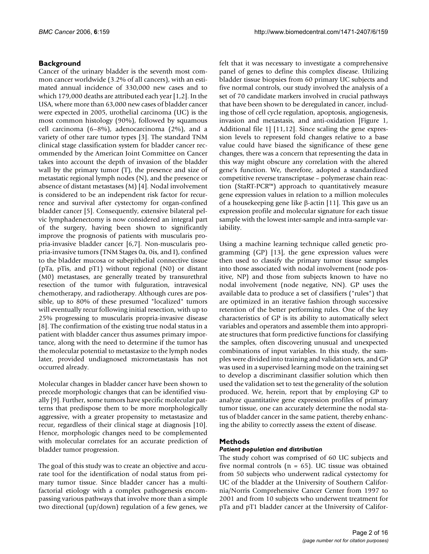# **Background**

Cancer of the urinary bladder is the seventh most common cancer worldwide (3.2% of all cancers), with an estimated annual incidence of 330,000 new cases and to which 179,000 deaths are attributed each year [1,2]. In the USA, where more than 63,000 new cases of bladder cancer were expected in 2005, urothelial carcinoma (UC) is the most common histology (90%), followed by squamous cell carcinoma (6–8%), adenocarcinoma (2%), and a variety of other rare tumor types [3]. The standard TNM clinical stage classification system for bladder cancer recommended by the American Joint Committee on Cancer takes into account the depth of invasion of the bladder wall by the primary tumor (T), the presence and size of metastatic regional lymph nodes (N), and the presence or absence of distant metastases (M) [4]. Nodal involvement is considered to be an independent risk factor for recurrence and survival after cystectomy for organ-confined bladder cancer [5]. Consequently, extensive bilateral pelvic lymphadenectomy is now considered an integral part of the surgery, having been shown to significantly improve the prognosis of patients with muscularis propria-invasive bladder cancer [6,7]. Non-muscularis propria-invasive tumors (TNM Stages 0a, 0is, and I), confined to the bladder mucosa or subepithelial connective tissue (pTa, pTis, and pT1) without regional (N0) or distant (M0) metastases, are generally treated by transurethral resection of the tumor with fulguration, intravesical chemotherapy, and radiotherapy. Although cures are possible, up to 80% of these presumed "localized" tumors will eventually recur following initial resection, with up to 25% progressing to muscularis propria-invasive disease [8]. The confirmation of the existing true nodal status in a patient with bladder cancer thus assumes primary importance, along with the need to determine if the tumor has the molecular potential to metastasize to the lymph nodes later, provided undiagnosed micrometastasis has not occurred already.

Molecular changes in bladder cancer have been shown to precede morphologic changes that can be identified visually [9]. Further, some tumors have specific molecular patterns that predispose them to be more morphologically aggressive, with a greater propensity to metastasize and recur, regardless of their clinical stage at diagnosis [10]. Hence, morphologic changes need to be complemented with molecular correlates for an accurate prediction of bladder tumor progression.

The goal of this study was to create an objective and accurate tool for the identification of nodal status from primary tumor tissue. Since bladder cancer has a multifactorial etiology with a complex pathogenesis encompassing various pathways that involve more than a simple two directional (up/down) regulation of a few genes, we

felt that it was necessary to investigate a comprehensive panel of genes to define this complex disease. Utilizing bladder tissue biopsies from 60 primary UC subjects and five normal controls, our study involved the analysis of a set of 70 candidate markers involved in crucial pathways that have been shown to be deregulated in cancer, including those of cell cycle regulation, apoptosis, angiogenesis, invasion and metastasis, and anti-oxidation [Figure 1, Additional file 1] [11,12]. Since scaling the gene expression levels to represent fold changes relative to a base value could have biased the significance of these gene changes, there was a concern that representing the data in this way might obscure any correlation with the altered gene's function. We, therefore, adopted a standardized competitive reverse transcriptase – polymerase chain reaction (StaRT-PCR™) approach to quantitatively measure gene expression values in relation to a million molecules of a housekeeping gene like β-actin [11]. This gave us an expression profile and molecular signature for each tissue sample with the lowest inter-sample and intra-sample variability.

Using a machine learning technique called genetic programming (GP) [13], the gene expression values were then used to classify the primary tumor tissue samples into those associated with nodal involvement (node positive, NP) and those from subjects known to have no nodal involvement (node negative, NN). GP uses the available data to produce a set of classifiers ("rules") that are optimized in an iterative fashion through successive retention of the better performing rules. One of the key characteristics of GP is its ability to automatically select variables and operators and assemble them into appropriate structures that form predictive functions for classifying the samples, often discovering unusual and unexpected combinations of input variables. In this study, the samples were divided into training and validation sets, and GP was used in a supervised learning mode on the training set to develop a discriminant classifier solution which then used the validation set to test the generality of the solution produced. We, herein, report that by employing GP to analyze quantitative gene expression profiles of primary tumor tissue, one can accurately determine the nodal status of bladder cancer in the same patient, thereby enhancing the ability to correctly assess the extent of disease.

# **Methods**

# *Patient population and distribution*

The study cohort was comprised of 60 UC subjects and five normal controls ( $n = 65$ ). UC tissue was obtained from 50 subjects who underwent radical cystectomy for UC of the bladder at the University of Southern California/Norris Comprehensive Cancer Center from 1997 to 2001 and from 10 subjects who underwent treatment for pTa and pT1 bladder cancer at the University of Califor-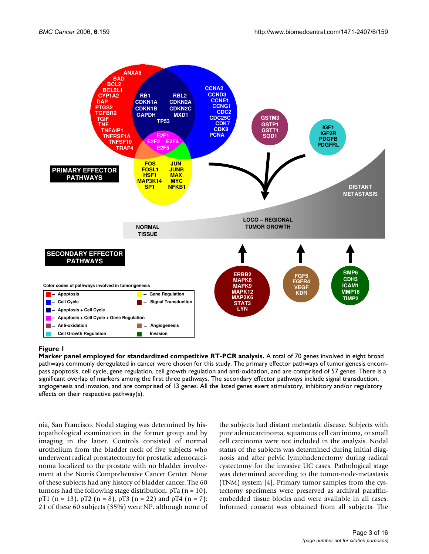

#### **Figure I**

**Marker panel employed for standardized competitive RT-PCR analysis.** A total of 70 genes involved in eight broad pathways commonly deregulated in cancer were chosen for this study. The primary effector pathways of tumorigenesis encompass apoptosis, cell cycle, gene regulation, cell growth regulation and anti-oxidation, and are comprised of 57 genes. There is a significant overlap of markers among the first three pathways. The secondary effector pathways include signal transduction, angiogenesis and invasion, and are comprised of 13 genes. All the listed genes exert stimulatory, inhibitory and/or regulatory effects on their respective pathway(s).

nia, San Francisco. Nodal staging was determined by histopathological examination in the former group and by imaging in the latter. Controls consisted of normal urothelium from the bladder neck of five subjects who underwent radical prostatectomy for prostatic adenocarcinoma localized to the prostate with no bladder involvement at the Norris Comprehensive Cancer Center. None of these subjects had any history of bladder cancer. The 60 tumors had the following stage distribution:  $pTa$  ( $n = 10$ ), pT1 (n = 13), pT2 (n = 8), pT3 (n = 22) and pT4 (n = 7); 21 of these 60 subjects (35%) were NP, although none of the subjects had distant metastatic disease. Subjects with pure adenocarcinoma, squamous cell carcinoma, or small cell carcinoma were not included in the analysis. Nodal status of the subjects was determined during initial diagnosis and after pelvic lymphadenectomy during radical cystectomy for the invasive UC cases. Pathological stage was determined according to the tumor-node-metastasis (TNM) system [4]. Primary tumor samples from the cystectomy specimens were preserved as archival paraffinembedded tissue blocks and were available in all cases. Informed consent was obtained from all subjects. The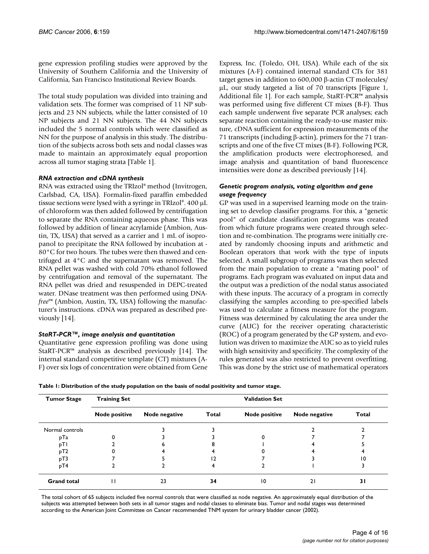gene expression profiling studies were approved by the University of Southern California and the University of California, San Francisco Institutional Review Boards.

The total study population was divided into training and validation sets. The former was comprised of 11 NP subjects and 23 NN subjects, while the latter consisted of 10 NP subjects and 21 NN subjects. The 44 NN subjects included the 5 normal controls which were classified as NN for the purpose of analysis in this study. The distribution of the subjects across both sets and nodal classes was made to maintain an approximately equal proportion across all tumor staging strata [Table 1].

### *RNA extraction and cDNA synthesis*

RNA was extracted using the TRIzol® method (Invitrogen, Carlsbad, CA, USA). Formalin-fixed paraffin embedded tissue sections were lysed with a syringe in TRIzol®. 400 μL of chloroform was then added followed by centrifugation to separate the RNA containing aqueous phase. This was followed by addition of linear acrylamide (Ambion, Austin, TX, USA) that served as a carrier and 1 mL of isopropanol to precipitate the RNA followed by incubation at - 80°C for two hours. The tubes were then thawed and centrifuged at 4°C and the supernatant was removed. The RNA pellet was washed with cold 70% ethanol followed by centrifugation and removal of the supernatant. The RNA pellet was dried and resuspended in DEPC-treated water. DNase treatment was then performed using DNA*free*™ (Ambion, Austin, TX, USA) following the manufacturer's instructions. cDNA was prepared as described previously [14].

# *StaRT-PCR™, image analysis and quantitation*

Quantitative gene expression profiling was done using StaRT-PCR™ analysis as described previously [14]. The internal standard competitive template (CT) mixtures (A-F) over six logs of concentration were obtained from Gene Express, Inc. (Toledo, OH, USA). While each of the six mixtures (A-F) contained internal standard CTs for 381 target genes in addition to 600,000 β-actin CT molecules/ μL, our study targeted a list of 70 transcripts [Figure 1, Additional file 1]. For each sample, StaRT-PCR™ analysis was performed using five different CT mixes (B-F). Thus each sample underwent five separate PCR analyses; each separate reaction containing the ready-to-use master mixture, cDNA sufficient for expression measurements of the 71 transcripts (including β-actin), primers for the 71 transcripts and one of the five CT mixes (B-F). Following PCR, the amplification products were electrophoresed, and image analysis and quantitation of band fluorescence intensities were done as described previously [14].

## *Genetic program analysis, voting algorithm and gene usage frequency*

GP was used in a supervised learning mode on the training set to develop classifier programs. For this, a "genetic pool" of candidate classification programs was created from which future programs were created through selection and re-combination. The programs were initially created by randomly choosing inputs and arithmetic and Boolean operators that work with the type of inputs selected. A small subgroup of programs was then selected from the main population to create a "mating pool" of programs. Each program was evaluated on input data and the output was a prediction of the nodal status associated with these inputs. The accuracy of a program in correctly classifying the samples according to pre-specified labels was used to calculate a fitness measure for the program. Fitness was determined by calculating the area under the curve (AUC) for the receiver operating characteristic (ROC) of a program generated by the GP system, and evolution was driven to maximize the AUC so as to yield rules with high sensitivity and specificity. The complexity of the rules generated was also restricted to prevent overfitting. This was done by the strict use of mathematical operators

| <b>Tumor Stage</b> | <b>Training Set</b>  |               |              | <b>Validation Set</b> |                |       |
|--------------------|----------------------|---------------|--------------|-----------------------|----------------|-------|
|                    | <b>Node positive</b> | Node negative | <b>Total</b> | <b>Node positive</b>  | Node negative  | Total |
| Normal controls    |                      |               |              |                       |                |       |
| pTa                |                      |               |              |                       |                |       |
| pTI                |                      |               |              |                       |                |       |
| pT <sub>2</sub>    |                      |               |              |                       |                |       |
| pT3                |                      |               |              |                       |                | 10    |
| pT4                |                      |               |              |                       |                |       |
| <b>Grand total</b> |                      | 23            | 34           | 10                    | $\overline{2}$ | 3 I   |

The total cohort of 65 subjects included five normal controls that were classified as node negative. An approximately equal distribution of the subjects was attempted between both sets in all tumor stages and nodal classes to eliminate bias. Tumor and nodal stages was determined according to the American Joint Committee on Cancer recommended TNM system for urinary bladder cancer (2002).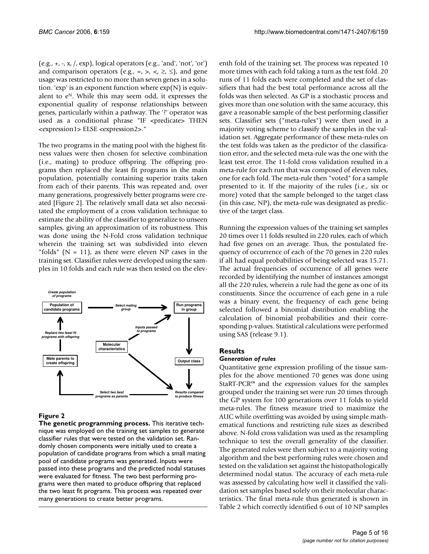$(e.g., +, -, x, /, exp)$ , logical operators  $(e.g., 'and', 'not', 'or')$ and comparison operators (e.g., =, >, <,  $\geq$ ,  $\leq$ ), and gene usage was restricted to no more than seven genes in a solution. ' $\exp'$  is an exponent function where  $\exp(N)$  is equivalent to  $e^N$ . While this may seem odd, it expresses the exponential quality of response relationships between genes, particularly within a pathway. The '?' operator was used as a conditional phrase "IF <predicate> THEN <expression1> ELSE <expression2>."

The two programs in the mating pool with the highest fitness values were then chosen for selective combination (i.e., mating) to produce offspring. The offspring programs then replaced the least fit programs in the main population, potentially containing superior traits taken from each of their parents. This was repeated and, over many generations, progressively better programs were created [Figure 2]. The relatively small data set also necessitated the employment of a cross validation technique to estimate the ability of the classifier to generalize to unseen samples, giving an approximation of its robustness. This was done using the N-Fold cross validation technique wherein the training set was subdivided into eleven "folds" ( $N = 11$ ), as there were eleven NP cases in the training set. Classifier rules were developed using the samples in 10 folds and each rule was then tested on the elev-



# Figure 2

**The genetic programming process.** This iterative technique was employed on the training set samples to generate classifier rules that were tested on the validation set. Randomly chosen components were initially used to create a population of candidate programs from which a small mating pool of candidate programs was generated. Inputs were passed into these programs and the predicted nodal statuses were evaluated for fitness. The two best performing programs were then mated to produce offspring that replaced the two least fit programs. This process was repeated over many generations to create better programs.

enth fold of the training set. The process was repeated 10 more times with each fold taking a turn as the test fold. 20 runs of 11 folds each were completed and the set of classifiers that had the best total performance across all the folds was then selected. As GP is a stochastic process and gives more than one solution with the same accuracy, this gave a reasonable sample of the best performing classifier sets. Classifier sets ("meta-rules") were then used in a majority voting scheme to classify the samples in the validation set. Aggregate performance of these meta-rules on the test folds was taken as the predictor of the classification error, and the selected meta-rule was the one with the least test error. The 11-fold cross validation resulted in a meta-rule for each run that was composed of eleven rules, one for each fold. The meta-rule then "voted" for a sample presented to it. If the majority of the rules (i.e., six or more) voted that the sample belonged to the target class (in this case, NP), the meta-rule was designated as predictive of the target class.

Running the expression values of the training set samples 20 times over 11 folds resulted in 220 rules, each of which had five genes on an average. Thus, the postulated frequency of occurrence of each of the 70 genes in 220 rules if all had equal probabilities of being selected was 15.71. The actual frequencies of occurrence of all genes were recorded by identifying the number of instances amongst all the 220 rules, wherein a rule had the gene as one of its constituents. Since the occurrence of each gene in a rule was a binary event, the frequency of each gene being selected followed a binomial distribution enabling the calculation of binomial probabilities and their corresponding p-values. Statistical calculations were performed using SAS (release 9.1).

# **Results**

# *Generation of rules*

Quantitative gene expression profiling of the tissue samples for the above mentioned 70 genes was done using StaRT-PCR™ and the expression values for the samples grouped under the training set were run 20 times through the GP system for 100 generations over 11 folds to yield meta-rules. The fitness measure tried to maximize the AUC while overfitting was avoided by using simple mathematical functions and restricting rule sizes as described above. N-fold cross validation was used as the resampling technique to test the overall generality of the classifier. The generated rules were then subject to a majority voting algorithm and the best performing rules were chosen and tested on the validation set against the histopathologically determined nodal status. The accuracy of each meta-rule was assessed by calculating how well it classified the validation set samples based solely on their molecular characteristics. The final meta-rule thus generated is shown in Table 2 which correctly identified 6 out of 10 NP samples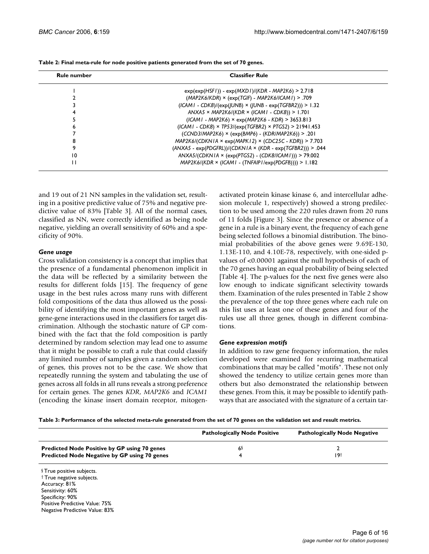| <b>Rule number</b> | <b>Classifier Rule</b>                                               |  |  |
|--------------------|----------------------------------------------------------------------|--|--|
|                    | $exp(exp(HSFI)) - exp(MXDI)/(KDR - MAP2K6) > 2.718$                  |  |  |
|                    | $(MAP2K6/KDR)$ × $(exp(TGIF) - MAP2K6/ICAMI)$ > .709                 |  |  |
|                    | $(ICAMI - CDK8)/(exp(IUNB) \times (JUNB - exp(TGFBR2))) > 1.32$      |  |  |
|                    | ANXA5 $\times$ MAP2K6/(KDR $\times$ (ICAM I - CDK8)) $> 1.701$       |  |  |
|                    | $(ICAMI - MAP2K6) \times exp(MAP2K6 - KDR) > 3653.813$               |  |  |
|                    | $(ICAMI - CDK8) \times TP53/(exp(TGFBR2) \times PTGS2) > 21941.453$  |  |  |
|                    | $(CCND3/MAP2K6) \times (exp(BMP6) - (KDR/MAP2K6))$ > .201            |  |  |
|                    | $MAP2K6/(CDKNIA \times exp(MAPK12) \times (CDC25C - KDR))$ > 7.703   |  |  |
|                    | $(ANXA5 - exp(PDGFRL)) / (CDKNIA \times (KDR - exp(TGFBR2)))$ > .044 |  |  |
| 10                 | $ANXAS/(CDKNIA \times (exp(PTGS2) - (CDK8/ICAM I)))$ > 79.002        |  |  |
|                    | $MAP2K6/(KDR \times (ICAMI - (TNFAIRI/exp(PDGFB)))) > 1.182$         |  |  |

**Table 2: Final meta-rule for node positive patients generated from the set of 70 genes.**

and 19 out of 21 NN samples in the validation set, resulting in a positive predictive value of 75% and negative predictive value of 83% [Table 3]. All of the normal cases, classified as NN, were correctly identified as being node negative, yielding an overall sensitivity of 60% and a specificity of 90%.

#### *Gene usage*

Cross validation consistency is a concept that implies that the presence of a fundamental phenomenon implicit in the data will be reflected by a similarity between the results for different folds [15]. The frequency of gene usage in the best rules across many runs with different fold compositions of the data thus allowed us the possibility of identifying the most important genes as well as gene-gene interactions used in the classifiers for target discrimination. Although the stochastic nature of GP combined with the fact that the fold composition is partly determined by random selection may lead one to assume that it might be possible to craft a rule that could classify any limited number of samples given a random selection of genes, this proves not to be the case. We show that repeatedly running the system and tabulating the use of genes across all folds in all runs reveals a strong preference for certain genes. The genes *KDR*, *MAP2K6* and *ICAM1* (encoding the kinase insert domain receptor, mitogenactivated protein kinase kinase 6, and intercellular adhesion molecule 1, respectively) showed a strong predilection to be used among the 220 rules drawn from 20 runs of 11 folds [Figure 3]. Since the presence or absence of a gene in a rule is a binary event, the frequency of each gene being selected follows a binomial distribution. The binomial probabilities of the above genes were 9.69E-130, 1.13E-110, and 4.10E-78, respectively, with one-sided pvalues of <0.00001 against the null hypothesis of each of the 70 genes having an equal probability of being selected [Table 4]. The p-values for the next five genes were also low enough to indicate significant selectivity towards them. Examination of the rules presented in Table 2 show the prevalence of the top three genes where each rule on this list uses at least one of these genes and four of the rules use all three genes, though in different combinations.

#### *Gene expression motifs*

In addition to raw gene frequency information, the rules developed were examined for recurring mathematical combinations that may be called "motifs". These not only showed the tendency to utilize certain genes more than others but also demonstrated the relationship between these genes. From this, it may be possible to identify pathways that are associated with the signature of a certain tar-

**Table 3: Performance of the selected meta-rule generated from the set of 70 genes on the validation set and result metrics.**

|                                                     | <b>Pathologically Node Positive</b> | <b>Pathologically Node Negative</b> |
|-----------------------------------------------------|-------------------------------------|-------------------------------------|
| <b>Predicted Node Positive by GP using 70 genes</b> |                                     |                                     |
| <b>Predicted Node Negative by GP using 70 genes</b> |                                     | 19 <sup>†</sup>                     |

§ True positive subjects. † True negative subjects. Accuracy: 81% Sensitivity: 60% Specificity: 90% Positive Predictive Value: 75% Negative Predictive Value: 83%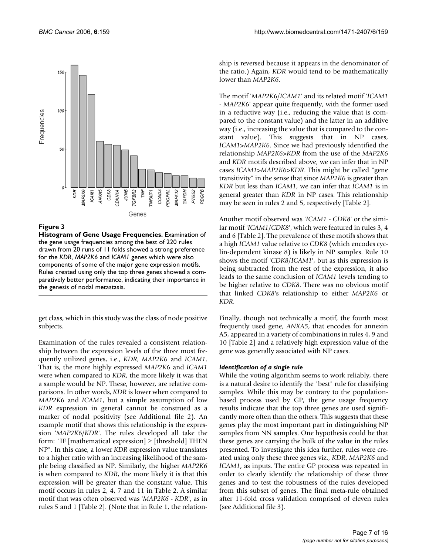

#### **Figure 3**

**Histogram of Gene Usage Frequencies.** Examination of the gene usage frequencies among the best of 220 rules drawn from 20 runs of 11 folds showed a strong preference for the *KDR*, *MAP2K6* and *ICAM1* genes which were also components of some of the major gene expression motifs. Rules created using only the top three genes showed a comparatively better performance, indicating their importance in the genesis of nodal metastasis.

get class, which in this study was the class of node positive subjects.

Examination of the rules revealed a consistent relationship between the expression levels of the three most frequently utilized genes, i.e., *KDR*, *MAP2K6* and *ICAM1*. That is, the more highly expressed *MAP2K6* and *ICAM1* were when compared to *KDR*, the more likely it was that a sample would be NP. These, however, are relative comparisons. In other words, *KDR* is lower when compared to *MAP2K6* and *ICAM1*, but a simple assumption of low *KDR* expression in general cannot be construed as a marker of nodal positivity (see Additional file 2). An example motif that shows this relationship is the expression '*MAP2K6*/*KDR*'. The rules developed all take the form: "IF [mathematical expression]  $\geq$  [threshold] THEN NP". In this case, a lower *KDR* expression value translates to a higher ratio with an increasing likelihood of the sample being classified as NP. Similarly, the higher *MAP2K6* is when compared to *KDR*, the more likely it is that this expression will be greater than the constant value. This motif occurs in rules 2, 4, 7 and 11 in Table 2. A similar motif that was often observed was '*MAP2K6* - *KDR*', as in rules 5 and 1 [Table 2]. (Note that in Rule 1, the relationship is reversed because it appears in the denominator of the ratio.) Again, *KDR* would tend to be mathematically lower than *MAP2K6*.

The motif '*MAP2K6*/*ICAM1*' and its related motif '*ICAM1* - *MAP2K6*' appear quite frequently, with the former used in a reductive way (i.e., reducing the value that is compared to the constant value) and the latter in an additive way (i.e., increasing the value that is compared to the constant value). This suggests that in NP cases, *ICAM1*>*MAP2K6*. Since we had previously identified the relationship *MAP2K6*>*KDR* from the use of the *MAP2K6* and *KDR* motifs described above, we can infer that in NP cases *ICAM1*>*MAP2K6*>*KDR*. This might be called "gene transitivity" in the sense that since *MAP2K6* is greater than *KDR* but less than *ICAM1*, we can infer that *ICAM1* is in general greater than *KDR* in NP cases. This relationship may be seen in rules 2 and 5, respectively [Table 2].

Another motif observed was '*ICAM1* - *CDK8*' or the similar motif '*ICAM1*/*CDK8*', which were featured in rules 3, 4 and 6 [Table 2]. The prevalence of these motifs shows that a high *ICAM1* value relative to *CDK8* (which encodes cyclin-dependent kinase 8) is likely in NP samples. Rule 10 shows the motif '*CDK8*/*ICAM1*', but as this expression is being subtracted from the rest of the expression, it also leads to the same conclusion of *ICAM1* levels tending to be higher relative to *CDK8*. There was no obvious motif that linked *CDK8*'s relationship to either *MAP2K6* or *KDR*.

Finally, though not technically a motif, the fourth most frequently used gene, *ANXA5*, that encodes for annexin A5, appeared in a variety of combinations in rules 4, 9 and 10 [Table 2] and a relatively high expression value of the gene was generally associated with NP cases.

#### *Identification of a single rule*

While the voting algorithm seems to work reliably, there is a natural desire to identify the "best" rule for classifying samples. While this may be contrary to the populationbased process used by GP, the gene usage frequency results indicate that the top three genes are used significantly more often than the others. This suggests that these genes play the most important part in distinguishing NP samples from NN samples. One hypothesis could be that these genes are carrying the bulk of the value in the rules presented. To investigate this idea further, rules were created using only these three genes viz., *KDR*, *MAP2K6* and *ICAM1*, as inputs. The entire GP process was repeated in order to clearly identify the relationship of these three genes and to test the robustness of the rules developed from this subset of genes. The final meta-rule obtained after 11-fold cross validation comprised of eleven rules (see Additional file 3).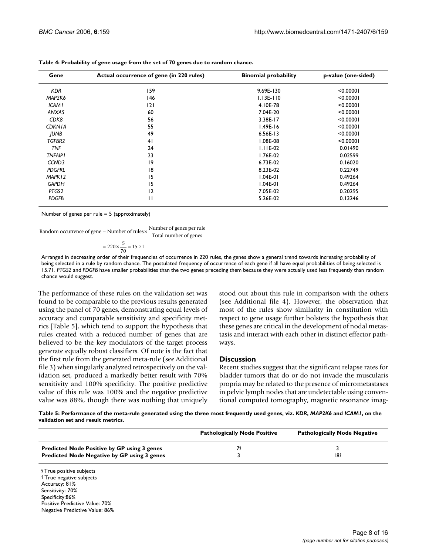| Gene           | Actual occurrence of gene (in 220 rules) | <b>Binomial probability</b> | p-value (one-sided) |
|----------------|------------------------------------------|-----------------------------|---------------------|
| <b>KDR</b>     | 159                                      | 9.69E-130                   | < 0.00001           |
| MAP2K6         | 146                                      | $1.13E-110$                 | < 0.00001           |
| <b>ICAM I</b>  | 2                                        | 4.10E-78                    | < 0.00001           |
| ANXA5          | 60                                       | 7.04E-20                    | < 0.00001           |
| CDK8           | 56                                       | 3.38E-17                    | < 0.00001           |
| <b>CDKNIA</b>  | 55                                       | $1.49E-16$                  | < 0.00001           |
| <b>JUNB</b>    | 49                                       | $6.56E-13$                  | < 0.00001           |
| TGFBR2         | 41                                       | I.08E-08                    | < 0.00001           |
| <b>TNF</b>     | 24                                       | $I.IIE-02$                  | 0.01490             |
| <b>TNFAIPI</b> | 23                                       | I.76E-02                    | 0.02599             |
| CCND3          | 9                                        | 6.73E-02                    | 0.16020             |
| <b>PDGFRL</b>  | 18                                       | 8.23E-02                    | 0.22749             |
| MAPK12         | 15                                       | $1.04E-01$                  | 0.49264             |
| <b>GAPDH</b>   | 15                                       | $1.04E-01$                  | 0.49264             |
| PTGS2          | 12                                       | 7.05E-02                    | 0.20295             |
| <b>PDGFB</b>   | П                                        | 5.26E-02                    | 0.13246             |

**Table 4: Probability of gene usage from the set of 70 genes due to random chance.**

Number of genes per rule = 5 (approximately)

Random occurrence of gene = Number of rules  $\times \frac{\text{Number of genes per rule}}{\text{Time}}$ Total number of genes

$$
= 220 \times \frac{5}{70} = 15.71
$$

Arranged in decreasing order of their frequencies of occurrence in 220 rules, the genes show a general trend towards increasing probability of being selected in a rule by random chance. The postulated frequency of occurrence of each gene if all have equal probabilities of being selected is 15.71. *PTGS2* and *PDGFB* have smaller probabilities than the two genes preceding them because they were actually used less frequently than random chance would suggest.

The performance of these rules on the validation set was found to be comparable to the previous results generated using the panel of 70 genes, demonstrating equal levels of accuracy and comparable sensitivity and specificity metrics [Table 5], which tend to support the hypothesis that rules created with a reduced number of genes that are believed to be the key modulators of the target process generate equally robust classifiers. Of note is the fact that the first rule from the generated meta-rule (see Additional file 3) when singularly analyzed retrospectively on the validation set, produced a markedly better result with 70% sensitivity and 100% specificity. The positive predictive value of this rule was 100% and the negative predictive value was 88%, though there was nothing that uniquely stood out about this rule in comparison with the others (see Additional file 4). However, the observation that most of the rules show similarity in constitution with respect to gene usage further bolsters the hypothesis that these genes are critical in the development of nodal metastasis and interact with each other in distinct effector pathways.

#### **Discussion**

Recent studies suggest that the significant relapse rates for bladder tumors that do or do not invade the muscularis propria may be related to the presence of micrometastases in pelvic lymph nodes that are undetectable using conventional computed tomography, magnetic resonance imag-

**Table 5: Performance of the meta-rule generated using the three most frequently used genes, viz.** *KDR***,** *MAP2K6* **and** *ICAM1***, on the validation set and result metrics.**

|                                                    | <b>Pathologically Node Positive</b> | <b>Pathologically Node Negative</b> |
|----------------------------------------------------|-------------------------------------|-------------------------------------|
| <b>Predicted Node Positive by GP using 3 genes</b> |                                     |                                     |
| <b>Predicted Node Negative by GP using 3 genes</b> |                                     | 18†                                 |

§ True positive subjects † True negative subjects Accuracy: 81% Sensitivity: 70% Specificity:86% Positive Predictive Value: 70% Negative Predictive Value: 86%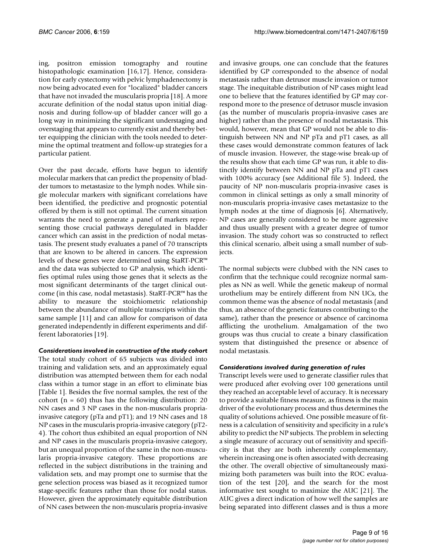ing, positron emission tomography and routine histopathologic examination [16,17]. Hence, consideration for early cystectomy with pelvic lymphadenectomy is now being advocated even for "localized" bladder cancers that have not invaded the muscularis propria [18]. A more accurate definition of the nodal status upon initial diagnosis and during follow-up of bladder cancer will go a long way in minimizing the significant understaging and overstaging that appears to currently exist and thereby better equipping the clinician with the tools needed to determine the optimal treatment and follow-up strategies for a particular patient.

Over the past decade, efforts have begun to identify molecular markers that can predict the propensity of bladder tumors to metastasize to the lymph nodes. While single molecular markers with significant correlations have been identified, the predictive and prognostic potential offered by them is still not optimal. The current situation warrants the need to generate a panel of markers representing those crucial pathways deregulated in bladder cancer which can assist in the prediction of nodal metastasis. The present study evaluates a panel of 70 transcripts that are known to be altered in cancers. The expression levels of these genes were determined using StaRT-PCR™ and the data was subjected to GP analysis, which identifies optimal rules using those genes that it selects as the most significant determinants of the target clinical outcome (in this case, nodal metastasis). StaRT-PCR™ has the ability to measure the stoichiometric relationship between the abundance of multiple transcripts within the same sample [11] and can allow for comparison of data generated independently in different experiments and different laboratories [19].

# *Considerations involved in construction of the study cohort*

The total study cohort of 65 subjects was divided into training and validation sets, and an approximately equal distribution was attempted between them for each nodal class within a tumor stage in an effort to eliminate bias [Table 1]. Besides the five normal samples, the rest of the cohort ( $n = 60$ ) thus has the following distribution: 20 NN cases and 3 NP cases in the non-muscularis propriainvasive category (pTa and pT1); and 19 NN cases and 18 NP cases in the muscularis propria-invasive category (pT2- 4). The cohort thus exhibited an equal proportion of NN and NP cases in the muscularis propria-invasive category, but an unequal proportion of the same in the non-muscularis propria-invasive category. These proportions are reflected in the subject distributions in the training and validation sets, and may prompt one to surmise that the gene selection process was biased as it recognized tumor stage-specific features rather than those for nodal status. However, given the approximately equitable distribution of NN cases between the non-muscularis propria-invasive and invasive groups, one can conclude that the features identified by GP corresponded to the absence of nodal metastasis rather than detrusor muscle invasion or tumor stage. The inequitable distribution of NP cases might lead one to believe that the features identified by GP may correspond more to the presence of detrusor muscle invasion (as the number of muscularis propria-invasive cases are higher) rather than the presence of nodal metastasis. This would, however, mean that GP would not be able to distinguish between NN and NP pTa and pT1 cases, as all these cases would demonstrate common features of lack of muscle invasion. However, the stage-wise break-up of the results show that each time GP was run, it able to distinctly identify between NN and NP pTa and pT1 cases with 100% accuracy (see Additional file 5). Indeed, the paucity of NP non-muscularis propria-invasive cases is common in clinical settings as only a small minority of non-muscularis propria-invasive cases metastasize to the lymph nodes at the time of diagnosis [6]. Alternatively, NP cases are generally considered to be more aggressive and thus usually present with a greater degree of tumor invasion. The study cohort was so constructed to reflect this clinical scenario, albeit using a small number of subjects.

The normal subjects were clubbed with the NN cases to confirm that the technique could recognize normal samples as NN as well. While the genetic makeup of normal urothelium may be entirely different from NN UCs, the common theme was the absence of nodal metastasis (and thus, an absence of the genetic features contributing to the same), rather than the presence or absence of carcinoma afflicting the urothelium. Amalgamation of the two groups was thus crucial to create a binary classification system that distinguished the presence or absence of nodal metastasis.

#### *Considerations involved during generation of rules*

Transcript levels were used to generate classifier rules that were produced after evolving over 100 generations until they reached an acceptable level of accuracy. It is necessary to provide a suitable fitness measure, as fitness is the main driver of the evolutionary process and thus determines the quality of solutions achieved. One possible measure of fitness is a calculation of sensitivity and specificity in a rule's ability to predict the NP subjects. The problem in selecting a single measure of accuracy out of sensitivity and specificity is that they are both inherently complementary, wherein increasing one is often associated with decreasing the other. The overall objective of simultaneously maximizing both parameters was built into the ROC evaluation of the test [20], and the search for the most informative test sought to maximize the AUC [21]. The AUC gives a direct indication of how well the samples are being separated into different classes and is thus a more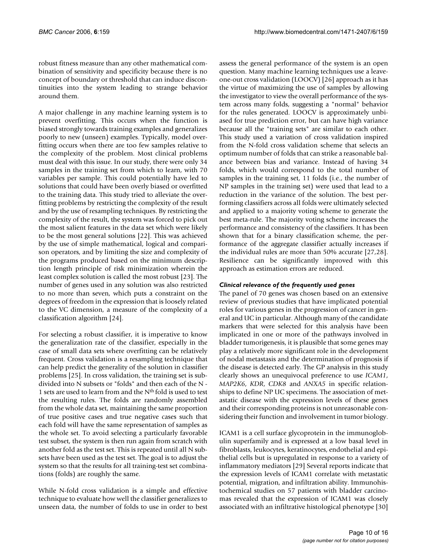robust fitness measure than any other mathematical combination of sensitivity and specificity because there is no concept of boundary or threshold that can induce discontinuities into the system leading to strange behavior around them.

A major challenge in any machine learning system is to prevent overfitting. This occurs when the function is biased strongly towards training examples and generalizes poorly to new (unseen) examples. Typically, model overfitting occurs when there are too few samples relative to the complexity of the problem. Most clinical problems must deal with this issue. In our study, there were only 34 samples in the training set from which to learn, with 70 variables per sample. This could potentially have led to solutions that could have been overly biased or overfitted to the training data. This study tried to alleviate the overfitting problems by restricting the complexity of the result and by the use of resampling techniques. By restricting the complexity of the result, the system was forced to pick out the most salient features in the data set which were likely to be the most general solutions [22]. This was achieved by the use of simple mathematical, logical and comparison operators, and by limiting the size and complexity of the programs produced based on the minimum description length principle of risk minimization wherein the least complex solution is called the most robust [23]. The number of genes used in any solution was also restricted to no more than seven, which puts a constraint on the degrees of freedom in the expression that is loosely related to the VC dimension, a measure of the complexity of a classification algorithm [24].

For selecting a robust classifier, it is imperative to know the generalization rate of the classifier, especially in the case of small data sets where overfitting can be relatively frequent. Cross validation is a resampling technique that can help predict the generality of the solution in classifier problems [25]. In cross validation, the training set is subdivided into N subsets or "folds" and then each of the N - 1 sets are used to learn from and the N<sup>th</sup> fold is used to test the resulting rules. The folds are randomly assembled from the whole data set, maintaining the same proportion of true positive cases and true negative cases such that each fold will have the same representation of samples as the whole set. To avoid selecting a particularly favorable test subset, the system is then run again from scratch with another fold as the test set. This is repeated until all N subsets have been used as the test set. The goal is to adjust the system so that the results for all training-test set combinations (folds) are roughly the same.

While N-fold cross validation is a simple and effective technique to evaluate how well the classifier generalizes to unseen data, the number of folds to use in order to best

assess the general performance of the system is an open question. Many machine learning techniques use a leaveone-out cross validation (LOOCV) [26] approach as it has the virtue of maximizing the use of samples by allowing the investigator to view the overall performance of the system across many folds, suggesting a "normal" behavior for the rules generated. LOOCV is approximately unbiased for true prediction error, but can have high variance because all the "training sets" are similar to each other. This study used a variation of cross validation inspired from the N-fold cross validation scheme that selects an optimum number of folds that can strike a reasonable balance between bias and variance. Instead of having 34 folds, which would correspond to the total number of samples in the training set, 11 folds (i.e., the number of NP samples in the training set) were used that lead to a reduction in the variance of the solution. The best performing classifiers across all folds were ultimately selected and applied to a majority voting scheme to generate the best meta-rule. The majority voting scheme increases the performance and consistency of the classifiers. It has been shown that for a binary classification scheme, the performance of the aggregate classifier actually increases if the individual rules are more than 50% accurate [27,28]. Resilience can be significantly improved with this approach as estimation errors are reduced.

# *Clinical relevance of the frequently used genes*

The panel of 70 genes was chosen based on an extensive review of previous studies that have implicated potential roles for various genes in the progression of cancer in general and UC in particular. Although many of the candidate markers that were selected for this analysis have been implicated in one or more of the pathways involved in bladder tumorigenesis, it is plausible that some genes may play a relatively more significant role in the development of nodal metastasis and the determination of prognosis if the disease is detected early. The GP analysis in this study clearly shows an unequivocal preference to use *ICAM1*, *MAP2K6*, *KDR*, *CDK8* and *ANXA5* in specific relationships to define NP UC specimens. The association of metastatic disease with the expression levels of these genes and their corresponding proteins is not unreasonable considering their function and involvement in tumor biology.

ICAM1 is a cell surface glycoprotein in the immunoglobulin superfamily and is expressed at a low basal level in fibroblasts, leukocytes, keratinocytes, endothelial and epithelial cells but is upregulated in response to a variety of inflammatory mediators [29] Several reports indicate that the expression levels of ICAM1 correlate with metastatic potential, migration, and infiltration ability. Immunohistochemical studies on 57 patients with bladder carcinomas revealed that the expression of ICAM1 was closely associated with an infiltrative histological phenotype [30]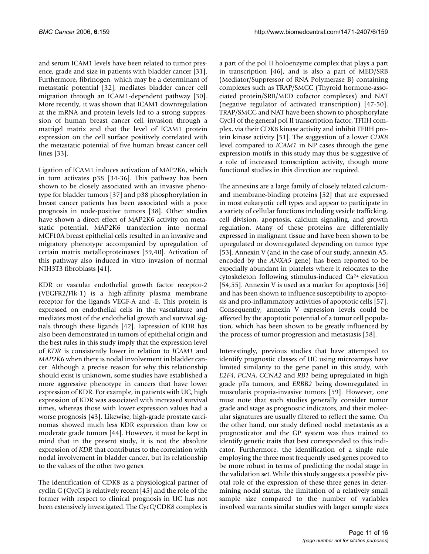and serum ICAM1 levels have been related to tumor presence, grade and size in patients with bladder cancer [31]. Furthermore, fibrinogen, which may be a determinant of metastatic potential [32], mediates bladder cancer cell migration through an ICAM1-dependent pathway [30]. More recently, it was shown that ICAM1 downregulation at the mRNA and protein levels led to a strong suppression of human breast cancer cell invasion through a matrigel matrix and that the level of ICAM1 protein expression on the cell surface positively correlated with the metastatic potential of five human breast cancer cell lines [33].

Ligation of ICAM1 induces activation of MAP2K6, which in turn activates p38 [34-36]. This pathway has been shown to be closely associated with an invasive phenotype for bladder tumors [37] and p38 phosphorylation in breast cancer patients has been associated with a poor prognosis in node-positive tumors [38]. Other studies have shown a direct effect of MAP2K6 activity on metastatic potential. MAP2K6 transfection into normal MCF10A breast epithelial cells resulted in an invasive and migratory phenotype accompanied by upregulation of certain matrix metalloproteinases [39,40]. Activation of this pathway also induced in vitro invasion of normal NIH3T3 fibroblasts [41].

KDR or vascular endothelial growth factor receptor-2 (VEGFR2/Flk-1) is a high-affinity plasma membrane receptor for the ligands VEGF-A and -E. This protein is expressed on endothelial cells in the vasculature and mediates most of the endothelial growth and survival signals through these ligands [42]. Expression of KDR has also been demonstrated in tumors of epithelial origin and the best rules in this study imply that the expression level of *KDR* is consistently lower in relation to *ICAM1* and *MAP2K6* when there is nodal involvement in bladder cancer. Although a precise reason for why this relationship should exist is unknown, some studies have established a more aggressive phenotype in cancers that have lower expression of KDR. For example, in patients with UC, high expression of KDR was associated with increased survival times, whereas those with lower expression values had a worse prognosis [43]. Likewise, high-grade prostate carcinomas showed much less KDR expression than low or moderate grade tumors [44]. However, it must be kept in mind that in the present study, it is not the absolute expression of *KDR* that contributes to the correlation with nodal involvement in bladder cancer, but its relationship to the values of the other two genes.

The identification of CDK8 as a physiological partner of cyclin C (CycC) is relatively recent [45] and the role of the former with respect to clinical prognosis in UC has not been extensively investigated. The CycC/CDK8 complex is a part of the pol II holoenzyme complex that plays a part in transcription [46], and is also a part of MED/SRB (Mediator/Suppressor of RNA Polymerase B) containing complexes such as TRAP/SMCC (Thyroid hormone-associated protein/SRB/MED cofactor complexes) and NAT (negative regulator of activated transcription) [47-50]. TRAP/SMCC and NAT have been shown to phosphorylate CycH of the general pol II transcription factor, TFIIH complex, via their CDK8 kinase activity and inhibit TFIIH protein kinase activity [51]. The suggestion of a lower *CDK8* level compared to *ICAM1* in NP cases through the gene expression motifs in this study may thus be suggestive of a role of increased transcription activity, though more functional studies in this direction are required.

The annexins are a large family of closely related calciumand membrane-binding proteins [52] that are expressed in most eukaryotic cell types and appear to participate in a variety of cellular functions including vesicle trafficking, cell division, apoptosis, calcium signaling, and growth regulation. Many of these proteins are differentially expressed in malignant tissue and have been shown to be upregulated or downregulated depending on tumor type [53]. Annexin V (and in the case of our study, annexin A5, encoded by the *ANXA5* gene) has been reported to be especially abundant in platelets where it relocates to the cytoskeleton following stimulus-induced Ca2+ elevation [54,55]. Annexin V is used as a marker for apoptosis [56] and has been shown to influence susceptibility to apoptosis and pro-inflammatory activities of apoptotic cells [57]. Consequently, annexin V expression levels could be affected by the apoptotic potential of a tumor cell population, which has been shown to be greatly influenced by the process of tumor progression and metastasis [58].

Interestingly, previous studies that have attempted to identify prognostic classes of UC using microarrays have limited similarity to the gene panel in this study, with *E2F4*, *PCNA*, *CCNA2* and *RB1* being upregulated in high grade pTa tumors, and *ERBB2* being downregulated in muscularis propria-invasive tumors [59]. However, one must note that such studies generally consider tumor grade and stage as prognostic indicators, and their molecular signatures are usually filtered to reflect the same. On the other hand, our study defined nodal metastasis as a prognosticator and the GP system was thus trained to identify genetic traits that best corresponded to this indicator. Furthermore, the identification of a single rule employing the three most frequently used genes proved to be more robust in terms of predicting the nodal stage in the validation set. While this study suggests a possible pivotal role of the expression of these three genes in determining nodal status, the limitation of a relatively small sample size compared to the number of variables involved warrants similar studies with larger sample sizes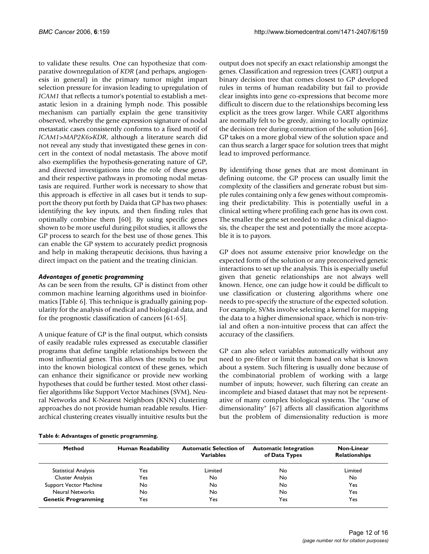to validate these results. One can hypothesize that comparative downregulation of *KDR* (and perhaps, angiogenesis in general) in the primary tumor might impart selection pressure for invasion leading to upregulation of *ICAM1* that reflects a tumor's potential to establish a metastatic lesion in a draining lymph node. This possible mechanism can partially explain the gene transitivity observed, whereby the gene expression signature of nodal metastatic cases consistently conforms to a fixed motif of *ICAM1*>*MAP2K6*>*KDR*, although a literature search did not reveal any study that investigated these genes in concert in the context of nodal metastasis. The above motif also exemplifies the hypothesis-generating nature of GP, and directed investigations into the role of these genes and their respective pathways in promoting nodal metastasis are required. Further work is necessary to show that this approach is effective in all cases but it tends to support the theory put forth by Daida that GP has two phases: identifying the key inputs, and then finding rules that optimally combine them [60]. By using specific genes shown to be more useful during pilot studies, it allows the GP process to search for the best use of those genes. This can enable the GP system to accurately predict prognosis and help in making therapeutic decisions, thus having a direct impact on the patient and the treating clinician.

#### *Advantages of genetic programming*

As can be seen from the results, GP is distinct from other common machine learning algorithms used in bioinformatics [Table 6]. This technique is gradually gaining popularity for the analysis of medical and biological data, and for the prognostic classification of cancers [61-65].

A unique feature of GP is the final output, which consists of easily readable rules expressed as executable classifier programs that define tangible relationships between the most influential genes. This allows the results to be put into the known biological context of these genes, which can enhance their significance or provide new working hypotheses that could be further tested. Most other classifier algorithms like Support Vector Machines (SVM), Neural Networks and K-Nearest Neighbors (KNN) clustering approaches do not provide human readable results. Hierarchical clustering creates visually intuitive results but the output does not specify an exact relationship amongst the genes. Classification and regression trees (CART) output a binary decision tree that comes closest to GP developed rules in terms of human readability but fail to provide clear insights into gene co-expressions that become more difficult to discern due to the relationships becoming less explicit as the trees grow larger. While CART algorithms are normally felt to be greedy, aiming to locally optimize the decision tree during construction of the solution [66], GP takes on a more global view of the solution space and can thus search a larger space for solution trees that might lead to improved performance.

By identifying those genes that are most dominant in defining outcome, the GP process can usually limit the complexity of the classifiers and generate robust but simple rules containing only a few genes without compromising their predictability. This is potentially useful in a clinical setting where profiling each gene has its own cost. The smaller the gene set needed to make a clinical diagnosis, the cheaper the test and potentially the more acceptable it is to payors.

GP does not assume extensive prior knowledge on the expected form of the solution or any preconceived genetic interactions to set up the analysis. This is especially useful given that genetic relationships are not always well known. Hence, one can judge how it could be difficult to use classification or clustering algorithms where one needs to pre-specify the structure of the expected solution. For example, SVMs involve selecting a kernel for mapping the data to a higher dimensional space, which is non-trivial and often a non-intuitive process that can affect the accuracy of the classifiers.

GP can also select variables automatically without any need to pre-filter or limit them based on what is known about a system. Such filtering is usually done because of the combinatorial problem of working with a large number of inputs; however, such filtering can create an incomplete and biased dataset that may not be representative of many complex biological systems. The "curse of dimensionality" [67] affects all classification algorithms but the problem of dimensionality reduction is more

| <b>Method</b>                 | <b>Human Readability</b> | <b>Automatic Selection of</b><br><b>Variables</b> | <b>Automatic Integration</b><br>of Data Types | Non-Linear<br><b>Relationships</b> |
|-------------------------------|--------------------------|---------------------------------------------------|-----------------------------------------------|------------------------------------|
| <b>Statistical Analysis</b>   | Yes                      | Limited                                           | No                                            | Limited                            |
| <b>Cluster Analysis</b>       | Yes                      | No                                                | No                                            | No.                                |
| <b>Support Vector Machine</b> | No                       | No                                                | No                                            | Yes                                |
| <b>Neural Networks</b>        | No                       | No                                                | No                                            | Yes                                |
| <b>Genetic Programming</b>    | Yes                      | Yes                                               | Yes                                           | Yes                                |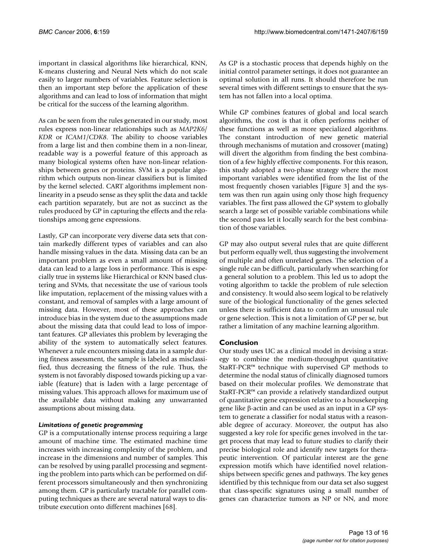important in classical algorithms like hierarchical, KNN, K-means clustering and Neural Nets which do not scale easily to larger numbers of variables. Feature selection is then an important step before the application of these algorithms and can lead to loss of information that might be critical for the success of the learning algorithm.

As can be seen from the rules generated in our study, most rules express non-linear relationships such as *MAP2K6*/ *KDR* or *ICAM1*/*CDK8*. The ability to choose variables from a large list and then combine them in a non-linear, readable way is a powerful feature of this approach as many biological systems often have non-linear relationships between genes or proteins. SVM is a popular algorithm which outputs non-linear classifiers but is limited by the kernel selected. CART algorithms implement nonlinearity in a pseudo sense as they split the data and tackle each partition separately, but are not as succinct as the rules produced by GP in capturing the effects and the relationships among gene expressions.

Lastly, GP can incorporate very diverse data sets that contain markedly different types of variables and can also handle missing values in the data. Missing data can be an important problem as even a small amount of missing data can lead to a large loss in performance. This is especially true in systems like Hierarchical or KNN based clustering and SVMs, that necessitate the use of various tools like imputation, replacement of the missing values with a constant, and removal of samples with a large amount of missing data. However, most of these approaches can introduce bias in the system due to the assumptions made about the missing data that could lead to loss of important features. GP alleviates this problem by leveraging the ability of the system to automatically select features. Whenever a rule encounters missing data in a sample during fitness assessment, the sample is labeled as misclassified, thus decreasing the fitness of the rule. Thus, the system is not favorably disposed towards picking up a variable (feature) that is laden with a large percentage of missing values. This approach allows for maximum use of the available data without making any unwarranted assumptions about missing data.

#### *Limitations of genetic programming*

GP is a computationally intense process requiring a large amount of machine time. The estimated machine time increases with increasing complexity of the problem, and increase in the dimensions and number of samples. This can be resolved by using parallel processing and segmenting the problem into parts which can be performed on different processors simultaneously and then synchronizing among them. GP is particularly tractable for parallel computing techniques as there are several natural ways to distribute execution onto different machines [68].

As GP is a stochastic process that depends highly on the initial control parameter settings, it does not guarantee an optimal solution in all runs. It should therefore be run several times with different settings to ensure that the system has not fallen into a local optima.

While GP combines features of global and local search algorithms, the cost is that it often performs neither of these functions as well as more specialized algorithms. The constant introduction of new genetic material through mechanisms of mutation and crossover (mating) will divert the algorithm from finding the best combination of a few highly effective components. For this reason, this study adopted a two-phase strategy where the most important variables were identified from the list of the most frequently chosen variables [Figure 3] and the system was then run again using only those high frequency variables. The first pass allowed the GP system to globally search a large set of possible variable combinations while the second pass let it locally search for the best combination of those variables.

GP may also output several rules that are quite different but perform equally well, thus suggesting the involvement of multiple and often unrelated genes. The selection of a single rule can be difficult, particularly when searching for a general solution to a problem. This led us to adopt the voting algorithm to tackle the problem of rule selection and consistency. It would also seem logical to be relatively sure of the biological functionality of the genes selected unless there is sufficient data to confirm an unusual rule or gene selection. This is not a limitation of GP per se, but rather a limitation of any machine learning algorithm.

# **Conclusion**

Our study uses UC as a clinical model in devising a strategy to combine the medium-throughput quantitative StaRT-PCR™ technique with supervised GP methods to determine the nodal status of clinically diagnosed tumors based on their molecular profiles. We demonstrate that StaRT-PCR™ can provide a relatively standardized output of quantitative gene expression relative to a housekeeping gene like β-actin and can be used as an input in a GP system to generate a classifier for nodal status with a reasonable degree of accuracy. Moreover, the output has also suggested a key role for specific genes involved in the target process that may lead to future studies to clarify their precise biological role and identify new targets for therapeutic intervention. Of particular interest are the gene expression motifs which have identified novel relationships between specific genes and pathways. The key genes identified by this technique from our data set also suggest that class-specific signatures using a small number of genes can characterize tumors as NP or NN, and more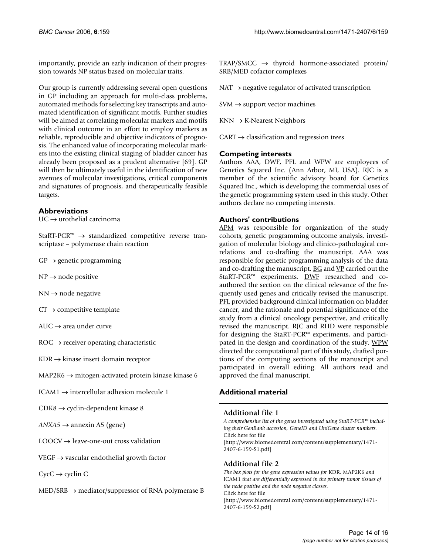importantly, provide an early indication of their progression towards NP status based on molecular traits.

Our group is currently addressing several open questions in GP including an approach for multi-class problems, automated methods for selecting key transcripts and automated identification of significant motifs. Further studies will be aimed at correlating molecular markers and motifs with clinical outcome in an effort to employ markers as reliable, reproducible and objective indicators of prognosis. The enhanced value of incorporating molecular markers into the existing clinical staging of bladder cancer has already been proposed as a prudent alternative [69]. GP will then be ultimately useful in the identification of new avenues of molecular investigations, critical components and signatures of prognosis, and therapeutically feasible targets.

# **Abbreviations**

 $UC \rightarrow$  urothelial carcinoma

StaRT-PCR™  $\rightarrow$  standardized competitive reverse transcriptase – polymerase chain reaction

- $GP \rightarrow$  genetic programming
- $NP \rightarrow node$  positive
- $NN \rightarrow$  node negative
- $CT \rightarrow$  competitive template
- $AUC \rightarrow$  area under curve
- $ROC \rightarrow receiver$  operating characteristic
- $KDR \rightarrow kinase$  insert domain receptor
- $MAP2K6 \rightarrow mitogen-activated protein kinase kinase 6$
- $ICAM1 \rightarrow$  intercellular adhesion molecule 1
- CDK8 → cyclin-dependent kinase 8
- $ANXA5 \rightarrow$  annexin A5 (gene)
- $LOOCV \rightarrow$  leave-one-out cross validation
- $VEGF \rightarrow$  vascular endothelial growth factor
- $CycC \rightarrow cyclin C$

 $MED/SRB \rightarrow mediator/suppressor$  of RNA polymerase B

TRAP/SMCC → thyroid hormone-associated protein/ SRB/MED cofactor complexes

 $NAT \rightarrow$  negative regulator of activated transcription

 $SVM \rightarrow support vector machines$ 

 $KNN \rightarrow K$ -Nearest Neighbors

 $CART \rightarrow classification$  and regression trees

### **Competing interests**

Authors AAA, DWF, PFL and WPW are employees of Genetics Squared Inc. (Ann Arbor, MI, USA). RJC is a member of the scientific advisory board for Genetics Squared Inc., which is developing the commercial uses of the genetic programming system used in this study. Other authors declare no competing interests.

# **Authors' contributions**

APM was responsible for organization of the study cohorts, genetic programming outcome analysis, investigation of molecular biology and clinico-pathological correlations and co-drafting the manuscript. AAA was responsible for genetic programming analysis of the data and co-drafting the manuscript.  $\underline{BC}$  and  $\underline{VP}$  carried out the StaRT-PCR™ experiments. DWF researched and coauthored the section on the clinical relevance of the frequently used genes and critically revised the manuscript. PFL provided background clinical information on bladder cancer, and the rationale and potential significance of the study from a clinical oncology perspective, and critically revised the manuscript. RJC and RHD were responsible for designing the StaRT-PCR™ experiments, and participated in the design and coordination of the study. WPW directed the computational part of this study, drafted portions of the computing sections of the manuscript and participated in overall editing. All authors read and approved the final manuscript.

# **Additional material**

#### **Additional file 1**

*A comprehensive list of the genes investigated using StaRT-PCR™ including their GenBank accession, GeneID and UniGene cluster numbers.* Click here for file [\[http://www.biomedcentral.com/content/supplementary/1471-](http://www.biomedcentral.com/content/supplementary/1471-2407-6-159-S1.pdf) 2407-6-159-S1.pdf]

# **Additional file 2**

*The box plots for the gene expression values for* KDR*,* MAP2K6 *and*  ICAM1 *that are differentially expressed in the primary tumor tissues of the node positive and the node negative classes.* Click here for file [\[http://www.biomedcentral.com/content/supplementary/1471-](http://www.biomedcentral.com/content/supplementary/1471-2407-6-159-S2.pdf) 2407-6-159-S2.pdf]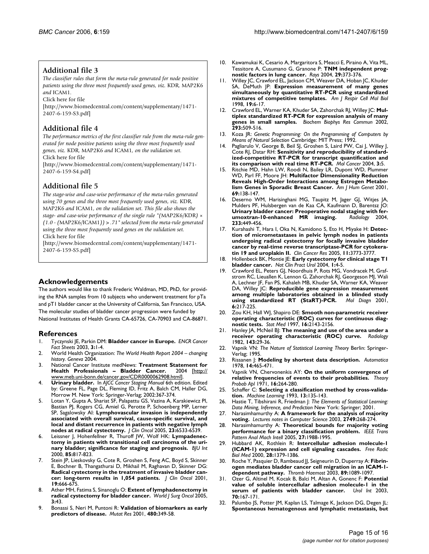# **Additional file 3**

*The classifier rules that form the meta-rule generated for node positive patients using the three most frequently used genes, viz.* KDR*,* MAP2K6 *and* ICAM1*.*

Click here for file

[\[http://www.biomedcentral.com/content/supplementary/1471-](http://www.biomedcentral.com/content/supplementary/1471-2407-6-159-S3.pdf) 2407-6-159-S3.pdf]

# **Additional file 4**

*The performance metrics of the first classifier rule from the meta-rule generated for node positive patients using the three most frequently used genes, viz.* KDR*,* MAP2K6 *and* ICAM1*, on the validation set.* Click here for file

[\[http://www.biomedcentral.com/content/supplementary/1471-](http://www.biomedcentral.com/content/supplementary/1471-2407-6-159-S4.pdf) 2407-6-159-S4.pdf]

# **Additional file 5**

*The stage-wise and case-wise performance of the meta-rules generated using 70 genes and the three most frequently used genes, viz.* KDR*,*  MAP2K6 *and* ICAM1*, on the validation set. This file also shows the stage- and case-wise performance of the single rule "(*MAP2K6*/*KDR*) × (1.0 - (*MAP2K6*/*ICAM1*)) > .71" selected from the meta-rule generated using the three most frequently used genes on the validation set.* Click here for file

[\[http://www.biomedcentral.com/content/supplementary/1471-](http://www.biomedcentral.com/content/supplementary/1471-2407-6-159-S5.pdf) 2407-6-159-S5.pdf]

# **Acknowledgements**

The authors would like to thank Frederic Waldman, MD, PhD, for providing the RNA samples from 10 subjects who underwent treatment for pTa and pT1 bladder cancer at the University of California, San Francisco, USA. The molecular studies of bladder cancer progression were funded by National Institutes of Health Grants CA-65726, CA-70903 and CA-86871.

#### **References**

- 1. Tyczynski JE, Parkin DM: **Bladder cancer in Europe.** *ENCR Cancer Fact Sheets* 2003, **3:**1-4.
- 2. World Health Organization: *The World Health Report 2004 changing history. Geneva* 2004.
- National Cancer Institute medNews: **Treatment Statement for Health Professionals Bladder Cancer.** 2004 [http:// Health Professionals - Bladder Cancer. [www.meb.uni-bonn.de/cancer.gov/CDR0000062908.html](http://www.meb.uni-bonn.de/cancer.gov/CDR0000062908.html)].
- 4. **Urinary bladder.** In *AJCC Cancer Staging Manual* 6th edition. Edited by: Greene FL, Page DL, Fleming ID, Fritz A, Balch CM, Haller DG, Morrow M. New York: Springer-Verlag; 2002:367-374.
- 5. Lotan Y, Gupta A, Shariat SF, Palapattu GS, Vazina A, Karakiewicz PI, Bastian PJ, Rogers CG, Amiel G, Perotte P, Schoenberg MP, Lerner SP, Sagalowsky AI: **[Lymphovascular invasion is independently](http://www.ncbi.nlm.nih.gov/entrez/query.fcgi?cmd=Retrieve&db=PubMed&dopt=Abstract&list_uids=16116151) [associated with overall survival, cause-specific survival, and](http://www.ncbi.nlm.nih.gov/entrez/query.fcgi?cmd=Retrieve&db=PubMed&dopt=Abstract&list_uids=16116151) local and distant recurrence in patients with negative lymph [nodes at radical cystectomy.](http://www.ncbi.nlm.nih.gov/entrez/query.fcgi?cmd=Retrieve&db=PubMed&dopt=Abstract&list_uids=16116151)** *J Clin Oncol* 2005, **23:**6533-6539.
- 6. Leissner J, Hohenfellner R, Thuroff JW, Wolf HK: **[Lympadenec](http://www.ncbi.nlm.nih.gov/entrez/query.fcgi?cmd=Retrieve&db=PubMed&dopt=Abstract&list_uids=10792159)[tomy in patients with transitional cell carcinoma of the uri](http://www.ncbi.nlm.nih.gov/entrez/query.fcgi?cmd=Retrieve&db=PubMed&dopt=Abstract&list_uids=10792159)[nary bladder; significance for staging and prognosis.](http://www.ncbi.nlm.nih.gov/entrez/query.fcgi?cmd=Retrieve&db=PubMed&dopt=Abstract&list_uids=10792159)** *BJU Int* 2000, **85:**817-823.
- 7. Stein JP, Lieskovsky G, Cote R, Groshen S, Feng AC, Boyd S, Skinner E, Bochner B, Thangathurai D, Mikhail M, Raghavan D, Skinner DG: **[Radical cystectomy in the treatment of invasive bladder can](http://www.ncbi.nlm.nih.gov/entrez/query.fcgi?cmd=Retrieve&db=PubMed&dopt=Abstract&list_uids=11157016)[cer: long-term results in 1,054 patients.](http://www.ncbi.nlm.nih.gov/entrez/query.fcgi?cmd=Retrieve&db=PubMed&dopt=Abstract&list_uids=11157016)** *J Clin Oncol* 2001, **19:**666-675.
- 8. Ather MH, Fatima S, Sinanoglu O: **[Extent of lymphadenectomy in](http://www.ncbi.nlm.nih.gov/entrez/query.fcgi?cmd=Retrieve&db=PubMed&dopt=Abstract&list_uids=16022725) [radical cystectomy for bladder cancer.](http://www.ncbi.nlm.nih.gov/entrez/query.fcgi?cmd=Retrieve&db=PubMed&dopt=Abstract&list_uids=16022725)** *World J Surg Oncol* 2005, **3:**43.
- 9. Bonassi S, Neri M, Puntoni R: **[Validation of biomarkers as early](http://www.ncbi.nlm.nih.gov/entrez/query.fcgi?cmd=Retrieve&db=PubMed&dopt=Abstract&list_uids=11506827) [predictors of disease.](http://www.ncbi.nlm.nih.gov/entrez/query.fcgi?cmd=Retrieve&db=PubMed&dopt=Abstract&list_uids=11506827)** *Mutat Res* 2001, **480:**349-58.
- 10. Kawamukai K, Cesario A, Margaritora S, Meacci E, Piraino A, Vita ML, Tessitore A, Cusumano G, Granone P: **[TNM independent prog](http://www.ncbi.nlm.nih.gov/entrez/query.fcgi?cmd=Retrieve&db=PubMed&dopt=Abstract&list_uids=15852722)[nostic factors in lung cancer.](http://www.ncbi.nlm.nih.gov/entrez/query.fcgi?cmd=Retrieve&db=PubMed&dopt=Abstract&list_uids=15852722)** *Rays* 2004, **29:**373-376.
- 11. Willey JC, Crawford EL, Jackson CM, Weaver DA, Hoban JC, Khuder SA, DeMuth JP: **[Expression measurement of many genes](http://www.ncbi.nlm.nih.gov/entrez/query.fcgi?cmd=Retrieve&db=PubMed&dopt=Abstract&list_uids=9651175) [simultaneously by quantitative RT-PCR using standardized](http://www.ncbi.nlm.nih.gov/entrez/query.fcgi?cmd=Retrieve&db=PubMed&dopt=Abstract&list_uids=9651175) [mixtures of competitive templates.](http://www.ncbi.nlm.nih.gov/entrez/query.fcgi?cmd=Retrieve&db=PubMed&dopt=Abstract&list_uids=9651175)** *Am J Respir Cell Mol Biol* 1998, **19:**6-17.
- 12. Crawford EL, Warner KA, Khuder SA, Zahorchak RJ, Willey JC: **[Mul](http://www.ncbi.nlm.nih.gov/entrez/query.fcgi?cmd=Retrieve&db=PubMed&dopt=Abstract&list_uids=12054630)[tiplex standardized RT-PCR for expression analysis of many](http://www.ncbi.nlm.nih.gov/entrez/query.fcgi?cmd=Retrieve&db=PubMed&dopt=Abstract&list_uids=12054630) [genes in small samples.](http://www.ncbi.nlm.nih.gov/entrez/query.fcgi?cmd=Retrieve&db=PubMed&dopt=Abstract&list_uids=12054630)** *Biochem Biophys Res Commun* 2002, **293:**509-516.
- 13. Koza JR: *Genetic Programming: On the Programming of Computers by Means of Natural Selection* Cambridge: MIT Press; 1992.
- 14. Pagliarulo V, George B, Beil SJ, Groshen S, Laird PW, Cai J, Willey J, Cote RJ, Datar RH: **[Sensitivity and reproducibility of standard](http://www.ncbi.nlm.nih.gov/entrez/query.fcgi?cmd=Retrieve&db=PubMed&dopt=Abstract&list_uids=14741054)[ized-competitive RT-PCR for transcript quantification and](http://www.ncbi.nlm.nih.gov/entrez/query.fcgi?cmd=Retrieve&db=PubMed&dopt=Abstract&list_uids=14741054) [its comparison with real time RT-PCR.](http://www.ncbi.nlm.nih.gov/entrez/query.fcgi?cmd=Retrieve&db=PubMed&dopt=Abstract&list_uids=14741054)** *Mol Cancer* 2004, **3:**5.
- 15. Ritchie MD, Hahn LW, Roodi N, Bailey LR, Dupont WD, Plummer WD, Parl FF, Moore JH: **[Multifactor Dimensionality Reduction](http://www.ncbi.nlm.nih.gov/entrez/query.fcgi?cmd=Retrieve&db=PubMed&dopt=Abstract&list_uids=11404819) [Reveals High-Order Interactions among Estrogen Metabo](http://www.ncbi.nlm.nih.gov/entrez/query.fcgi?cmd=Retrieve&db=PubMed&dopt=Abstract&list_uids=11404819)[lism Genes in Sporadic Breast Cancer.](http://www.ncbi.nlm.nih.gov/entrez/query.fcgi?cmd=Retrieve&db=PubMed&dopt=Abstract&list_uids=11404819)** *Am J Hum Genet* 2001, **69:**138-147.
- 16. Deserno WM, Harisinghani MG, Taupitz M, Jager GJ, Witjes JA, Mulders PF, Hulsbergen van de Kaa CA, Kaufmann D, Barentsz JO: **[Urinary bladder cancer: Preoperative nodal staging with fer](http://www.ncbi.nlm.nih.gov/entrez/query.fcgi?cmd=Retrieve&db=PubMed&dopt=Abstract&list_uids=15375228)**[umoxtran-10-enhanced MR imaging.](http://www.ncbi.nlm.nih.gov/entrez/query.fcgi?cmd=Retrieve&db=PubMed&dopt=Abstract&list_uids=15375228) **233:**449-456.
- 17. Kurahashi T, Hara I, Oka N, Kamidono S, Eto H, Miyake H: **[Detec](http://www.ncbi.nlm.nih.gov/entrez/query.fcgi?cmd=Retrieve&db=PubMed&dopt=Abstract&list_uids=15897575)[tion of micrometastases in pelvic lymph nodes in patients](http://www.ncbi.nlm.nih.gov/entrez/query.fcgi?cmd=Retrieve&db=PubMed&dopt=Abstract&list_uids=15897575) undergoing radical cystectomy for focally invasive bladder cancer by real-time reverse transcriptase-PCR for cytokera[tin 19 and uroplakin II.](http://www.ncbi.nlm.nih.gov/entrez/query.fcgi?cmd=Retrieve&db=PubMed&dopt=Abstract&list_uids=15897575)** *Clin Cancer Res* 2005, **11:**3773-3777.
- 18. Hollenbeck BK, Montie JE: **[Early cystectomy for clinical stage T1](http://www.ncbi.nlm.nih.gov/entrez/query.fcgi?cmd=Retrieve&db=PubMed&dopt=Abstract&list_uids=16474441) [bladder cancer.](http://www.ncbi.nlm.nih.gov/entrez/query.fcgi?cmd=Retrieve&db=PubMed&dopt=Abstract&list_uids=16474441)** *Nat Clin Pract Urol* 2004, **1:**4-5.
- 19. Crawford EL, Peters GJ, Noordhuis P, Rots MG, Vondracek M, Grafstrom RC, Lieuallen K, Lennon G, Zahorchak RJ, Georgeson MJ, Wali A, Lechner JF, Fan PS, Kahaleh MB, Khuder SA, Warner KA, Weaver DA, Willey JC: **[Reproducible gene expression measurement](http://www.ncbi.nlm.nih.gov/entrez/query.fcgi?cmd=Retrieve&db=PubMed&dopt=Abstract&list_uids=11774186) [among multiple laboratories obtained in a blinded study](http://www.ncbi.nlm.nih.gov/entrez/query.fcgi?cmd=Retrieve&db=PubMed&dopt=Abstract&list_uids=11774186) [using standardized RT \(StaRT\)-PCR.](http://www.ncbi.nlm.nih.gov/entrez/query.fcgi?cmd=Retrieve&db=PubMed&dopt=Abstract&list_uids=11774186)** *Mol Diagn* 2001, **6:**217-225.
- 20. Zou KH, Hall WJ, Shapiro DE: **[Smooth non-parametric receiver](http://www.ncbi.nlm.nih.gov/entrez/query.fcgi?cmd=Retrieve&db=PubMed&dopt=Abstract&list_uids=9330425) [operating characteristic \(ROC\) curves for continuous diag](http://www.ncbi.nlm.nih.gov/entrez/query.fcgi?cmd=Retrieve&db=PubMed&dopt=Abstract&list_uids=9330425)[nostic tests.](http://www.ncbi.nlm.nih.gov/entrez/query.fcgi?cmd=Retrieve&db=PubMed&dopt=Abstract&list_uids=9330425)** *Stat Med* 1997, **16:**2143-2156.
- 21. Hanley JA, McNeil BJ: **[The meaning and use of the area under a](http://www.ncbi.nlm.nih.gov/entrez/query.fcgi?cmd=Retrieve&db=PubMed&dopt=Abstract&list_uids=7063747) [receiver operating characteristic \(ROC\) curve.](http://www.ncbi.nlm.nih.gov/entrez/query.fcgi?cmd=Retrieve&db=PubMed&dopt=Abstract&list_uids=7063747)** *Radiology* 1982, **143:**29-36.
- 22. Vapnik VN: *The Nature of Statistical Learning Theory* Berlin: Springer-Verlag; 1995.
- 23. Rissanen J: **Modeling by shortest data description.** *Automatica* 1978, **14:**465-471.
- 24. Vapnik VN, Chervonenkis AY: **On the uniform convergence of relative frequencies of events to their probabilities.** *Theory Probab Apl* 1971, **16:**264-280.
- 25. Schaffer C: **Selecting a classification method by cross-validation.** *Machine Learning* 1993, **13:**135-143.
- 26. Hastie T, Tibshirani R, Friedman J: *The Elements of Statistical Learning: Data Mining, Inference, and Prediction* New York: Springer; 2001.
- 27. Narasimhamurthy A: **A framework for the analysis of majority voting.** *Lectures notes in Computer Science* 2003, **2749:**268-274.
- 28. Narasimhamurthy A: **[Theoretical bounds for majority voting](http://www.ncbi.nlm.nih.gov/entrez/query.fcgi?cmd=Retrieve&db=PubMed&dopt=Abstract&list_uids=16355665) [performance for a binary classification problem.](http://www.ncbi.nlm.nih.gov/entrez/query.fcgi?cmd=Retrieve&db=PubMed&dopt=Abstract&list_uids=16355665)** *IEEE Trans Pattern Anal Mach Intell* 2005, **27:**1988-1995.
- 29. Hubbard AK, Rothlein R: **[Intercellular adhesion molecule-1](http://www.ncbi.nlm.nih.gov/entrez/query.fcgi?cmd=Retrieve&db=PubMed&dopt=Abstract&list_uids=10924857) [\(ICAM-1\) expression and cell signaling cascades.](http://www.ncbi.nlm.nih.gov/entrez/query.fcgi?cmd=Retrieve&db=PubMed&dopt=Abstract&list_uids=10924857)** *Free Radic Biol Med* 2000, **28:**1379-1386.
- 30. Roche Y, Pasquier D, Rambeaud JJ, Seigneurin D, Duperray A: **[Fibrin](http://www.ncbi.nlm.nih.gov/entrez/query.fcgi?cmd=Retrieve&db=PubMed&dopt=Abstract&list_uids=12783123)[ogen mediates bladder cancer cell migration in an ICAM-1](http://www.ncbi.nlm.nih.gov/entrez/query.fcgi?cmd=Retrieve&db=PubMed&dopt=Abstract&list_uids=12783123) [dependent pathway.](http://www.ncbi.nlm.nih.gov/entrez/query.fcgi?cmd=Retrieve&db=PubMed&dopt=Abstract&list_uids=12783123)** *Thromb Haemost* 2003, **89:**1089-1097.
- 31. Ozer G, Altinel M, Kocak B, Balci M, Altan A, Gonenc F: **[Potential](http://www.ncbi.nlm.nih.gov/entrez/query.fcgi?cmd=Retrieve&db=PubMed&dopt=Abstract&list_uids=12660451) [value of soluble intercellular adhesion molecule-1 in the](http://www.ncbi.nlm.nih.gov/entrez/query.fcgi?cmd=Retrieve&db=PubMed&dopt=Abstract&list_uids=12660451)** [serum of patients with bladder cancer.](http://www.ncbi.nlm.nih.gov/entrez/query.fcgi?cmd=Retrieve&db=PubMed&dopt=Abstract&list_uids=12660451) **70:**167-171.
- 32. Palumbo JS, Potter JM, Kaplan LS, Talmage K, Jackson DG, Degen JL: **[Spontaneous hematogenous and lymphatic metastasis, but](http://www.ncbi.nlm.nih.gov/entrez/query.fcgi?cmd=Retrieve&db=PubMed&dopt=Abstract&list_uids=12460914)**